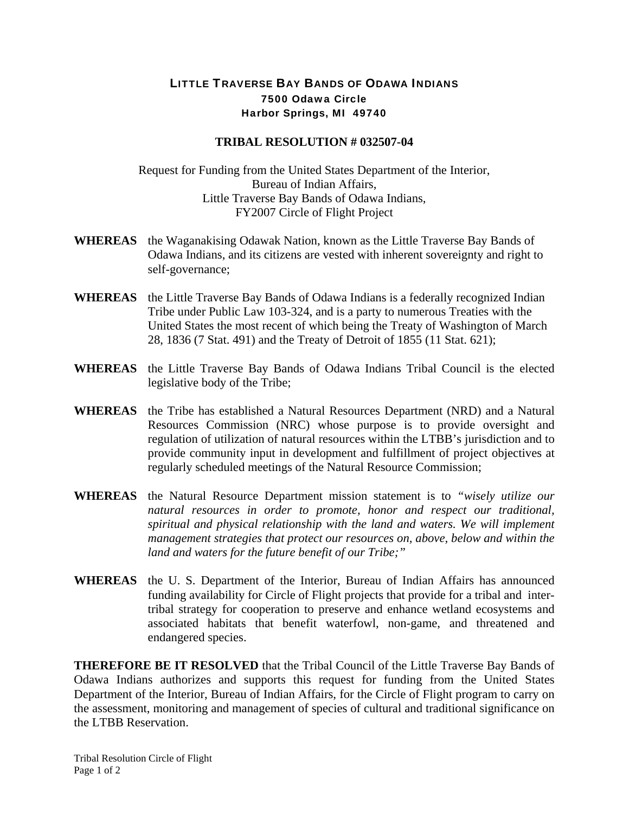## LITTLE TRAVERSE BAY BANDS OF ODAWA INDIANS 7500 Odawa Circle Harbor Springs, MI 49740

## **TRIBAL RESOLUTION # 032507-04**

Request for Funding from the United States Department of the Interior, Bureau of Indian Affairs, Little Traverse Bay Bands of Odawa Indians, FY2007 Circle of Flight Project

- **WHEREAS** the Waganakising Odawak Nation, known as the Little Traverse Bay Bands of Odawa Indians, and its citizens are vested with inherent sovereignty and right to self-governance;
- **WHEREAS** the Little Traverse Bay Bands of Odawa Indians is a federally recognized Indian Tribe under Public Law 103-324, and is a party to numerous Treaties with the United States the most recent of which being the Treaty of Washington of March 28, 1836 (7 Stat. 491) and the Treaty of Detroit of 1855 (11 Stat. 621);
- **WHEREAS** the Little Traverse Bay Bands of Odawa Indians Tribal Council is the elected legislative body of the Tribe;
- **WHEREAS** the Tribe has established a Natural Resources Department (NRD) and a Natural Resources Commission (NRC) whose purpose is to provide oversight and regulation of utilization of natural resources within the LTBB's jurisdiction and to provide community input in development and fulfillment of project objectives at regularly scheduled meetings of the Natural Resource Commission;
- **WHEREAS** the Natural Resource Department mission statement is to *"wisely utilize our natural resources in order to promote, honor and respect our traditional, spiritual and physical relationship with the land and waters. We will implement management strategies that protect our resources on, above, below and within the land and waters for the future benefit of our Tribe;"*
- **WHEREAS** the U. S. Department of the Interior, Bureau of Indian Affairs has announced funding availability for Circle of Flight projects that provide for a tribal and intertribal strategy for cooperation to preserve and enhance wetland ecosystems and associated habitats that benefit waterfowl, non-game, and threatened and endangered species.

**THEREFORE BE IT RESOLVED** that the Tribal Council of the Little Traverse Bay Bands of Odawa Indians authorizes and supports this request for funding from the United States Department of the Interior, Bureau of Indian Affairs, for the Circle of Flight program to carry on the assessment, monitoring and management of species of cultural and traditional significance on the LTBB Reservation.